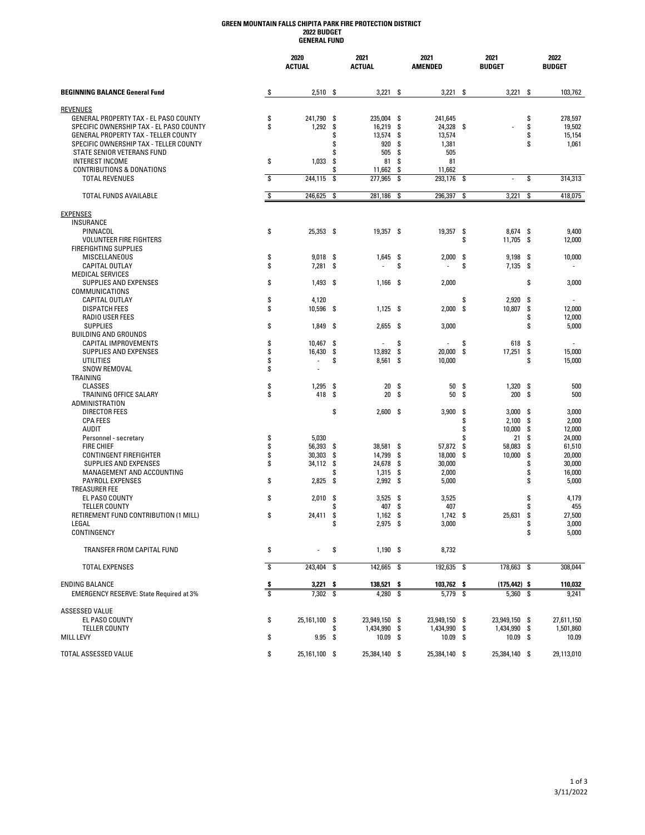### **GREEN MOUNTAIN FALLS CHIPITA PARK FIRE PROTECTION DISTRICT 2022 BUDGET GENERAL FUND**

|                                                               |                         | 2020<br><b>ACTUAL</b> |          | 2021<br><b>ACTUAL</b> |            | 2021<br><b>AMENDED</b> |      | 2021<br><b>BUDGET</b> |          | 2022<br><b>BUDGET</b> |
|---------------------------------------------------------------|-------------------------|-----------------------|----------|-----------------------|------------|------------------------|------|-----------------------|----------|-----------------------|
| <b>BEGINNING BALANCE General Fund</b>                         | \$                      | $2,510$ \$            |          | 3,221                 | -\$        | 3,221                  | -S   | 3,221                 | - \$     | 103,762               |
| <b>REVENUES</b>                                               |                         |                       |          |                       |            |                        |      |                       |          |                       |
| GENERAL PROPERTY TAX - EL PASO COUNTY                         | \$                      | 241,790               | \$       | 235,004               | -\$        | 241,645                |      |                       | \$       | 278,597               |
| SPECIFIC OWNERSHIP TAX - EL PASO COUNTY                       | \$                      | 1,292                 | \$       | 16,219                | \$         | 24,328 \$              |      |                       | \$       | 19,502                |
| GENERAL PROPERTY TAX - TELLER COUNTY                          |                         |                       | \$       | 13,574                | \$         | 13,574                 |      |                       | \$       | 15,154                |
| SPECIFIC OWNERSHIP TAX - TELLER COUNTY                        |                         |                       | \$       | 920                   | \$         | 1,381                  |      |                       | \$       | 1,061                 |
| STATE SENIOR VETERANS FUND                                    |                         |                       | \$       | 505                   | \$         | 505                    |      |                       |          |                       |
| <b>INTEREST INCOME</b>                                        | \$                      | 1,033                 | \$       | 81                    | \$         | 81                     |      |                       |          |                       |
| <b>CONTRIBUTIONS &amp; DONATIONS</b><br><b>TOTAL REVENUES</b> | Ŝ                       | 244,115               | \$<br>\$ | 11,662<br>277,965     | \$<br>\$   | 11,662<br>293,176      | S    | ä,                    | \$       | 314,313               |
|                                                               | s                       |                       |          |                       | \$         |                        | S    |                       | S        |                       |
| TOTAL FUNDS AVAILABLE                                         |                         | 246,625               | \$       | 281,186               |            | 296,397                |      | 3,221                 |          | 418,075               |
| <b>EXPENSES</b>                                               |                         |                       |          |                       |            |                        |      |                       |          |                       |
| <b>INSURANCE</b>                                              |                         |                       |          |                       |            |                        |      |                       |          |                       |
| PINNACOL                                                      | \$                      | 25,353 \$             |          | 19,357 \$             |            | 19,357                 | -S   | 8,674 \$              |          | 9,400                 |
| <b>VOLUNTEER FIRE FIGHTERS</b>                                |                         |                       |          |                       |            |                        | \$   | 11,705                | - \$     | 12,000                |
| <b>FIREFIGHTING SUPPLIES</b><br>MISCELLANEOUS                 | \$                      | 9,018                 | - \$     | 1,645                 | -\$        | 2,000                  | S    | 9,198                 | -\$      | 10,000                |
| CAPITAL OUTLAY                                                | \$                      | 7,281                 | \$       |                       | \$         |                        | \$   | $7,135$ \$            |          |                       |
| <b>MEDICAL SERVICES</b>                                       |                         |                       |          |                       |            |                        |      |                       |          |                       |
| SUPPLIES AND EXPENSES                                         | \$                      | 1,493                 | - \$     | $1,166$ \$            |            | 2,000                  |      |                       | \$       | 3,000                 |
| COMMUNICATIONS                                                |                         |                       |          |                       |            |                        |      |                       |          |                       |
| <b>CAPITAL OUTLAY</b>                                         | \$                      | 4,120                 |          |                       |            |                        | \$   | 2,920                 | -S       |                       |
| <b>DISPATCH FEES</b>                                          | \$                      | 10,596                | \$       | $1,125$ \$            |            | 2,000                  | S    | 10,807                | \$       | 12,000                |
| <b>RADIO USER FEES</b>                                        |                         |                       |          |                       |            |                        |      |                       | \$       | 12,000                |
| <b>SUPPLIES</b>                                               | \$                      | 1,849                 | -\$      | $2,655$ \$            |            | 3,000                  |      |                       | \$       | 5,000                 |
| <b>BUILDING AND GROUNDS</b>                                   |                         |                       |          |                       |            |                        |      |                       |          |                       |
| CAPITAL IMPROVEMENTS                                          | \$                      | 10,467                | \$       |                       | \$         | ä,                     | \$   | 618                   | \$       |                       |
| SUPPLIES AND EXPENSES                                         | \$                      | 16,430                | \$       | 13,892                | -\$        | 20,000                 | \$   | 17,251                | \$       | 15,000                |
| UTILITIES                                                     | \$                      |                       | \$       | 8,561 \$              |            | 10,000                 |      |                       | \$       | 15,000                |
| SNOW REMOVAL                                                  | \$                      | ٠                     |          |                       |            |                        |      |                       |          |                       |
| TRAINING<br><b>CLASSES</b>                                    | \$                      | 1,295                 | \$       | 20                    | \$         | 50                     | -S   | 1,320                 | -S       | 500                   |
| TRAINING OFFICE SALARY                                        | \$                      | 418                   | \$       | 20                    | \$         | 50                     | S    | 200                   | Ŝ.       | 500                   |
| ADMINISTRATION                                                |                         |                       |          |                       |            |                        |      |                       |          |                       |
| <b>DIRECTOR FEES</b>                                          |                         |                       | \$       | $2,600$ \$            |            | 3,900                  | Ŝ.   | 3,000                 | - \$     | 3,000                 |
| <b>CPA FEES</b>                                               |                         |                       |          |                       |            |                        | \$   | 2,100                 | \$       | 2,000                 |
| AUDIT                                                         |                         |                       |          |                       |            |                        | \$   | 10,000                | \$       | 12,000                |
| Personnel - secretary                                         | \$                      | 5,030                 |          |                       |            |                        | \$   | 21                    | \$       | 24,000                |
| <b>FIRE CHIEF</b>                                             | \$                      | 56,393                | \$       | 38,581                | -\$        | 57,872                 | \$   | 58,083                | \$       | 61,510                |
| CONTINGENT FIREFIGHTER                                        | \$                      | 30,303                | \$       | 14,799                | \$         | 18,000                 | S    | 10,000                | \$       | 20,000                |
| SUPPLIES AND EXPENSES                                         | \$                      | 34,112                | \$       | 24,678                | \$         | 30,000                 |      |                       | \$       | 30,000                |
| MANAGEMENT AND ACCOUNTING                                     |                         |                       | \$       | 1,315                 | \$         | 2,000                  |      |                       | \$       | 16,000                |
| <b>PAYROLL EXPENSES</b>                                       | \$                      | 2,825                 | -\$      | 2,992                 | -\$        | 5,000                  |      |                       | \$       | 5,000                 |
| <b>TREASURER FEE</b>                                          |                         |                       |          |                       |            |                        |      |                       |          |                       |
| EL PASO COUNTY                                                | \$                      | 2,010                 | \$       | 3,525                 | -\$        | 3,525                  |      |                       | \$       | 4,179                 |
| <b>TELLER COUNTY</b><br>RETIREMENT FUND CONTRIBUTION (1 MILL) | \$                      |                       | \$       | 407<br>1,162          | \$         | 407                    |      |                       | S        | 455                   |
| LEGAL                                                         |                         | 24,411                | \$<br>\$ | 2,975                 | -\$<br>-\$ | 1,742<br>3,000         | - \$ | 25,631                | \$<br>\$ | 27,500<br>3,000       |
| CONTINGENCY                                                   |                         |                       |          |                       |            |                        |      |                       | \$       | 5,000                 |
| TRANSFER FROM CAPITAL FUND                                    | \$                      | ÷.                    | \$       | $1,190$ \$            |            | 8,732                  |      |                       |          |                       |
|                                                               |                         |                       |          |                       |            |                        |      |                       |          |                       |
| <b>TOTAL EXPENSES</b>                                         | \$                      | 243,404 \$            |          | 142,665 \$            |            | 192,635 \$             |      | 178,663 \$            |          | 308,044               |
| <b>ENDING BALANCE</b>                                         | \$                      | 3,221                 | \$       | 138,521               | -\$        | 103,762 \$             |      | $(175, 442)$ \$       |          | 110,032               |
| <b>EMERGENCY RESERVE: State Required at 3%</b>                | $\overline{\mathbf{s}}$ | $7,302$ \$            |          | 4,280 \$              |            | 5,779 \$               |      | 5,360 \$              |          | 9,241                 |
| <b>ASSESSED VALUE</b>                                         |                         |                       |          |                       |            |                        |      |                       |          |                       |
| EL PASO COUNTY                                                | \$                      | 25,161,100 \$         |          | 23,949,150 \$         |            | 23,949,150 \$          |      | 23,949,150 \$         |          | 27,611,150            |
| <b>TELLER COUNTY</b>                                          |                         |                       | \$       | 1,434,990 \$          |            | 1,434,990 \$           |      | 1,434,990 \$          |          | 1,501,860             |
| <b>MILL LEVY</b>                                              | \$                      | $9.95$ \$             |          | $10.09$ \$            |            | $10.09$ \$             |      | $10.09$ \$            |          | 10.09                 |
|                                                               |                         |                       |          |                       |            |                        |      |                       |          |                       |
| TOTAL ASSESSED VALUE                                          | \$                      | 25,161,100 \$         |          | 25,384,140 \$         |            | 25,384,140 \$          |      | 25,384,140 \$         |          | 29,113,010            |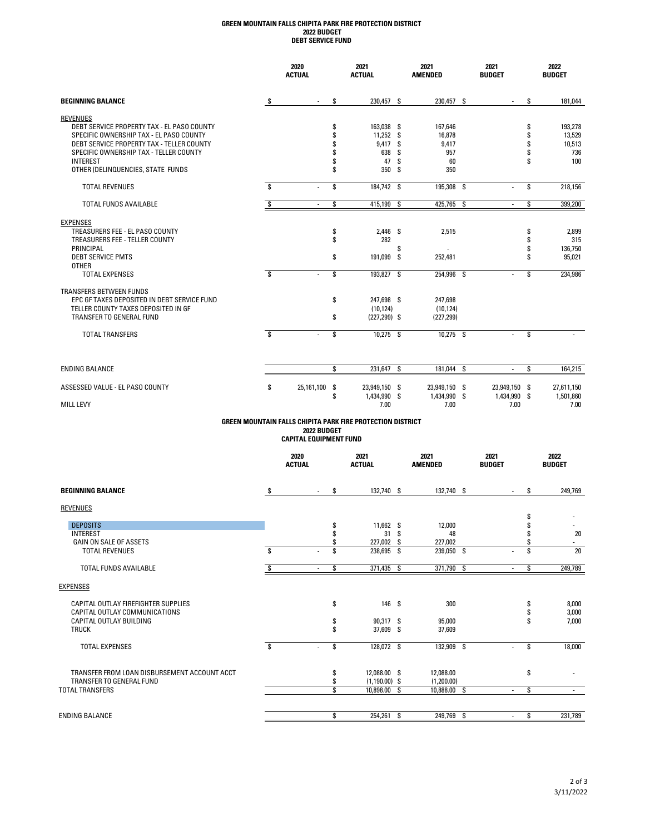## **DEBT SERVICE FUND GREEN MOUNTAIN FALLS CHIPITA PARK FIRE PROTECTION DISTRICT 2022 BUDGET**

|                                             |     | 2020<br><b>ACTUAL</b> |                         | 2021<br><b>ACTUAL</b>                                      |    | 2021<br><b>AMENDED</b>        | 2021<br><b>BUDGET</b>         |    | 2022<br><b>BUDGET</b>   |
|---------------------------------------------|-----|-----------------------|-------------------------|------------------------------------------------------------|----|-------------------------------|-------------------------------|----|-------------------------|
| <b>BEGINNING BALANCE</b>                    | \$  |                       | \$                      | 230,457 \$                                                 |    | 230,457 \$                    | $\overline{\phantom{a}}$      | \$ | 181,044                 |
| <b>REVENUES</b>                             |     |                       |                         |                                                            |    |                               |                               |    |                         |
| DEBT SERVICE PROPERTY TAX - EL PASO COUNTY  |     |                       | \$                      | 163,038 \$                                                 |    | 167,646                       |                               | S  | 193,278                 |
| SPECIFIC OWNERSHIP TAX - EL PASO COUNTY     |     |                       | \$                      | 11,252 \$                                                  |    | 16,878                        |                               | \$ | 13.529                  |
| DEBT SERVICE PROPERTY TAX - TELLER COUNTY   |     |                       | \$                      | 9,417 \$                                                   |    | 9,417                         |                               | \$ | 10,513                  |
| SPECIFIC OWNERSHIP TAX - TELLER COUNTY      |     |                       | \$                      | 638                                                        | Ŝ. | 957                           |                               | \$ | 736                     |
| <b>INTEREST</b>                             |     |                       | \$<br>\$                | 47                                                         | Ŝ. | 60                            |                               | Ŝ  | 100                     |
| OTHER (DELINQUENCIES, STATE FUNDS           |     |                       |                         | 350                                                        | Ŝ. | 350                           |                               |    |                         |
| <b>TOTAL REVENUES</b>                       | \$. | ÷                     | \$                      | 184.742 \$                                                 |    | 195.308 \$                    | ×.                            | \$ | 218.156                 |
| <b>TOTAL FUNDS AVAILABLE</b>                | \$  | $\sim$                | \$                      | 415,199 \$                                                 |    | 425,765 \$                    | $\overline{\phantom{a}}$      | \$ | 399,200                 |
| <b>EXPENSES</b>                             |     |                       |                         |                                                            |    |                               |                               |    |                         |
| TREASURERS FEE - EL PASO COUNTY             |     |                       | \$                      | 2,446 \$                                                   |    | 2.515                         |                               | \$ | 2,899                   |
| TREASURERS FEE - TELLER COUNTY              |     |                       | \$                      | 282                                                        |    |                               |                               | \$ | 315                     |
| PRINCIPAL                                   |     |                       |                         |                                                            | \$ | ÷                             |                               | \$ | 136,750                 |
| <b>DEBT SERVICE PMTS</b>                    |     |                       | \$                      | 191,099 \$                                                 |    | 252,481                       |                               | \$ | 95,021                  |
| <b>OTHER</b>                                |     |                       |                         |                                                            |    |                               |                               |    |                         |
| <b>TOTAL EXPENSES</b>                       | \$  |                       | $\overline{\mathsf{s}}$ | 193,827 \$                                                 |    | 254,996 \$                    | ×.                            | \$ | 234,986                 |
| <b>TRANSFERS BETWEEN FUNDS</b>              |     |                       |                         |                                                            |    |                               |                               |    |                         |
| EPC GF TAXES DEPOSITED IN DEBT SERVICE FUND |     |                       | \$                      | 247.698 \$                                                 |    | 247,698                       |                               |    |                         |
| TELLER COUNTY TAXES DEPOSITED IN GF         |     |                       |                         | (10.124)                                                   |    | (10, 124)                     |                               |    |                         |
| TRANSFER TO GENERAL FUND                    |     |                       | \$                      | $(227, 299)$ \$                                            |    | (227, 299)                    |                               |    |                         |
| <b>TOTAL TRANSFERS</b>                      | S.  | $\sim$                | \$                      | 10,275 \$                                                  |    | 10,275 \$                     | $\blacksquare$                | s. |                         |
| <b>ENDING BALANCE</b>                       |     |                       | \$                      | 231,647                                                    | \$ | 181,044 \$                    | $\sim$                        | \$ | 164,215                 |
|                                             |     |                       |                         |                                                            |    |                               |                               |    |                         |
| ASSESSED VALUE - EL PASO COUNTY             | \$  | 25,161,100            | -\$<br>\$               | 23,949,150 \$<br>1,434,990 \$                              |    | 23,949,150 \$<br>1,434,990 \$ | 23,949,150 \$<br>1,434,990 \$ |    | 27,611,150<br>1,501,860 |
| <b>MILL LEVY</b>                            |     |                       |                         | 7.00                                                       |    | 7.00                          | 7.00                          |    | 7.00                    |
|                                             |     |                       |                         | GREEN MOUNTAIN FALLS CHIPITA PARK FIRE PROTECTION DISTRICT |    |                               |                               |    |                         |

#### **GREEN MOUNTAIN FALLS CHIPITA PARK FIRE PROTECTION DISTRICT 2022 BUDGET CAPITAL EQUIPMENT FUND**

|                                                                      |     | 2020<br><b>ACTUAL</b> | 2021<br><b>ACTUAL</b> |    | 2021<br><b>AMENDED</b> | 2021<br><b>BUDGET</b> |          | 2022<br><b>BUDGET</b> |
|----------------------------------------------------------------------|-----|-----------------------|-----------------------|----|------------------------|-----------------------|----------|-----------------------|
| <b>BEGINNING BALANCE</b>                                             | \$  | \$<br>$\sim$          | 132,740 \$            |    | 132,740 \$             | $\blacksquare$        | S        | 249,769               |
| <b>REVENUES</b>                                                      |     |                       |                       |    |                        |                       |          |                       |
| <b>DEPOSITS</b>                                                      |     | \$                    | 11,662 \$             |    | 12,000                 |                       | \$       |                       |
| <b>INTEREST</b>                                                      |     | \$                    | 31                    | Ŝ. | 48                     |                       |          | 20                    |
| GAIN ON SALE OF ASSETS                                               |     | \$                    | 227,002 \$            |    | 227,002                |                       | S        |                       |
| <b>TOTAL REVENUES</b>                                                | \$. | \$                    | 238,695 \$            |    | 239,050 \$             | ٠                     | \$       | 20                    |
| <b>TOTAL FUNDS AVAILABLE</b>                                         |     | \$                    | 371,435 \$            |    | 371,790 \$             | ٠                     | \$       | 249,789               |
| <b>EXPENSES</b>                                                      |     |                       |                       |    |                        |                       |          |                       |
| CAPITAL OUTLAY FIREFIGHTER SUPPLIES<br>CAPITAL OUTLAY COMMUNICATIONS |     | \$                    | 146 \$                |    | 300                    |                       | \$<br>\$ | 8,000<br>3,000        |
| CAPITAL OUTLAY BUILDING                                              |     | \$                    | 90,317 \$             |    | 95,000                 |                       | Ŝ        | 7,000                 |
| <b>TRUCK</b>                                                         |     | \$                    | 37,609 \$             |    | 37,609                 |                       |          |                       |
| <b>TOTAL EXPENSES</b>                                                | Ŝ.  | \$                    | 128,072 \$            |    | 132,909 \$             | ٠                     | \$       | 18,000                |
| TRANSFER FROM LOAN DISBURSEMENT ACCOUNT ACCT                         |     | \$                    | 12,088.00 \$          |    | 12,088.00              |                       | Ŝ        |                       |
| TRANSFER TO GENERAL FUND                                             |     | \$                    | $(1,190.00)$ \$       |    | (1,200.00)             |                       |          |                       |
| <b>TOTAL TRANSFERS</b>                                               |     | \$                    | 10,898.00 \$          |    | 10,888.00 \$           | $\sim$                | Ŝ        | ۰.                    |
|                                                                      |     |                       |                       |    |                        |                       |          |                       |
| <b>ENDING BALANCE</b>                                                |     | \$                    | 254,261 \$            |    | 249,769 \$             | ٠                     | Ŝ.       | 231,789               |